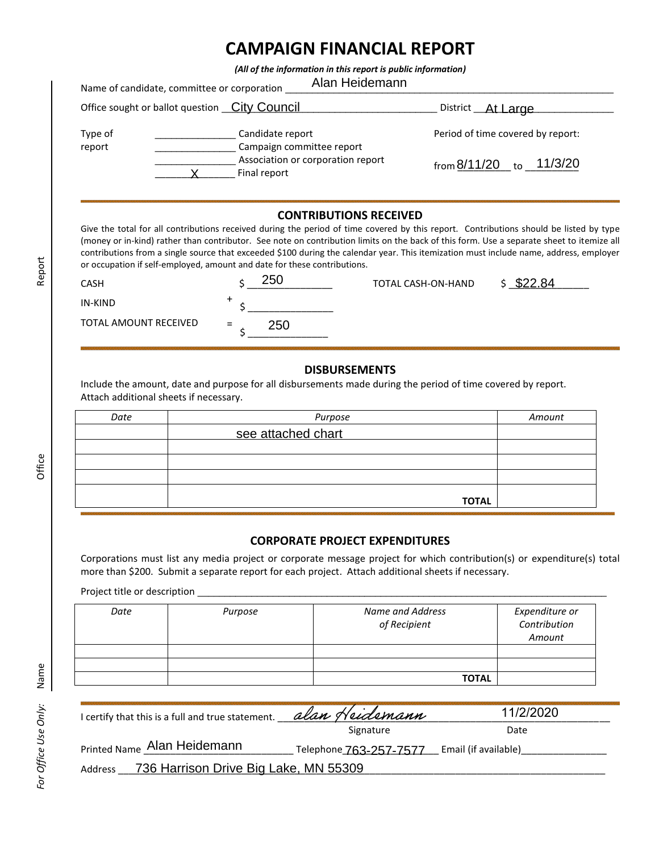## **CAMPAIGN FINANCIAL REPORT**

*(All of the information in this report is public information)*

|                   | Alan Heidemann<br>Name of candidate, committee or corporation |                                   |
|-------------------|---------------------------------------------------------------|-----------------------------------|
|                   | Office sought or ballot question _City Council                | District __ At Large              |
| Type of<br>report | Candidate report<br>Campaign committee report                 | Period of time covered by report: |
|                   | Association or corporation report<br>Final report             | 11/3/20<br>from 8/11/20<br>to     |

## **CONTRIBUTIONS RECEIVED**

Give the total for all contributions received during the period of time covered by this report. Contributions should be listed by type (money or in-kind) rather than contributor. See note on contribution limits on the back of this form. Use a separate sheet to itemize all contributions from a single source that exceeded \$100 during the calendar year. This itemization must include name, address, employer or occupation if self-employed, amount and date for these contributions.

| <b>CASH</b>           | 250        | TOTAL CASH-ON-HAND | \$22.84 |
|-----------------------|------------|--------------------|---------|
| IN-KIND               |            |                    |         |
| TOTAL AMOUNT RECEIVED | $=$<br>250 |                    |         |

## **DISBURSEMENTS**

| <b>CASH</b>                            | 250<br>\$                                                             | <b>TOTAL CASH-ON-HAND</b>                                                                                                                                                                                                                                          | \$22.84                |
|----------------------------------------|-----------------------------------------------------------------------|--------------------------------------------------------------------------------------------------------------------------------------------------------------------------------------------------------------------------------------------------------------------|------------------------|
| <b>IN-KIND</b>                         |                                                                       |                                                                                                                                                                                                                                                                    |                        |
| TOTAL AMOUNT RECEIVED                  | $=$<br>250                                                            |                                                                                                                                                                                                                                                                    |                        |
| Attach additional sheets if necessary. |                                                                       | <b>DISBURSEMENTS</b><br>Include the amount, date and purpose for all disbursements made during the period of time covered by report.                                                                                                                               |                        |
| Date                                   |                                                                       | Purpose                                                                                                                                                                                                                                                            | Amount                 |
|                                        | see attached chart                                                    |                                                                                                                                                                                                                                                                    |                        |
|                                        |                                                                       |                                                                                                                                                                                                                                                                    |                        |
|                                        |                                                                       |                                                                                                                                                                                                                                                                    | <b>TOTAL</b>           |
|                                        |                                                                       | <b>CORPORATE PROJECT EXPENDITURES</b><br>Corporations must list any media project or corporate message project for which contribution(s) or expenditure(s) t<br>more than \$200. Submit a separate report for each project. Attach additional sheets if necessary. |                        |
| Date                                   | Purpose                                                               | Name and Address                                                                                                                                                                                                                                                   | Expenditure or         |
|                                        |                                                                       | of Recipient                                                                                                                                                                                                                                                       | Contribution<br>Amount |
|                                        |                                                                       |                                                                                                                                                                                                                                                                    | <b>TOTAL</b>           |
|                                        |                                                                       |                                                                                                                                                                                                                                                                    |                        |
|                                        | I certify that this is a full and true statement. $\_$ alan Heidemann |                                                                                                                                                                                                                                                                    | 11/2/2020              |
|                                        |                                                                       | Signature                                                                                                                                                                                                                                                          |                        |
|                                        |                                                                       |                                                                                                                                                                                                                                                                    | Date                   |
| Printed Name Alan Heidemann            |                                                                       | Telephone 763-257-7577                                                                                                                                                                                                                                             | Email (if available)   |

## **CORPORATE PROJECT EXPENDITURES**

| Date | Purpose | Name and Address<br>of Recipient | Expenditure or<br>Contribution<br>Amount |
|------|---------|----------------------------------|------------------------------------------|
|      |         |                                  |                                          |
|      |         |                                  |                                          |
|      |         | <b>TOTAL</b>                     |                                          |

| I certify that this is a full and true statement. | alan Heidemann                              | 11/2/2020 |  |  |
|---------------------------------------------------|---------------------------------------------|-----------|--|--|
|                                                   | Signature                                   | Date      |  |  |
| <b>Printed Name Alan Heidemann</b>                | Telephone 763-257-7577 Email (if available) |           |  |  |
| Address __ 736 Harrison Drive Big Lake, MN 55309  |                                             |           |  |  |